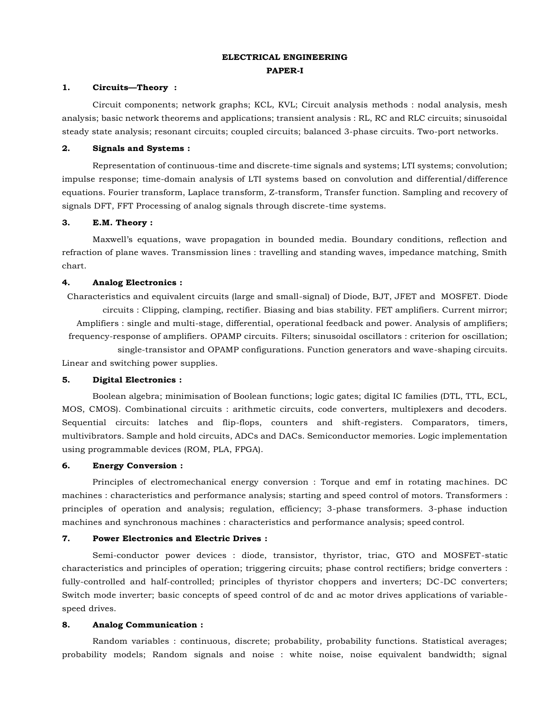# **ELECTRICAL ENGINEERING PAPER-I**

### **1. Circuits—Theory :**

Circuit components; network graphs; KCL, KVL; Circuit analysis methods : nodal analysis, mesh analysis; basic network theorems and applications; transient analysis : RL, RC and RLC circuits; sinusoidal steady state analysis; resonant circuits; coupled circuits; balanced 3-phase circuits. Two-port networks.

#### **2. Signals and Systems :**

Representation of continuous-time and discrete-time signals and systems; LTI systems; convolution; impulse response; time-domain analysis of LTI systems based on convolution and differential/difference equations. Fourier transform, Laplace transform, Z-transform, Transfer function. Sampling and recovery of signals DFT, FFT Processing of analog signals through discrete-time systems.

#### **3. E.M. Theory :**

Maxwell's equations, wave propagation in bounded media. Boundary conditions, reflection and refraction of plane waves. Transmission lines : travelling and standing waves, impedance matching, Smith chart.

## **4. Analog Electronics :**

Characteristics and equivalent circuits (large and small-signal) of Diode, BJT, JFET and MOSFET. Diode circuits : Clipping, clamping, rectifier. Biasing and bias stability. FET amplifiers. Current mirror; Amplifiers : single and multi-stage, differential, operational feedback and power. Analysis of amplifiers; frequency-response of amplifiers. OPAMP circuits. Filters; sinusoidal oscillators : criterion for oscillation;

single-transistor and OPAMP configurations. Function generators and wave-shaping circuits. Linear and switching power supplies.

# **5. Digital Electronics :**

Boolean algebra; minimisation of Boolean functions; logic gates; digital IC families (DTL, TTL, ECL, MOS, CMOS). Combinational circuits : arithmetic circuits, code converters, multiplexers and decoders. Sequential circuits: latches and flip-flops, counters and shift-registers. Comparators, timers, multivibrators. Sample and hold circuits, ADCs and DACs. Semiconductor memories. Logic implementation using programmable devices (ROM, PLA, FPGA).

# **6. Energy Conversion :**

Principles of electromechanical energy conversion : Torque and emf in rotating machines. DC machines : characteristics and performance analysis; starting and speed control of motors. Transformers : principles of operation and analysis; regulation, efficiency; 3-phase transformers. 3-phase induction machines and synchronous machines : characteristics and performance analysis; speed control.

# **7. Power Electronics and Electric Drives :**

Semi-conductor power devices : diode, transistor, thyristor, triac, GTO and MOSFET-static characteristics and principles of operation; triggering circuits; phase control rectifiers; bridge converters : fully-controlled and half-controlled; principles of thyristor choppers and inverters; DC-DC converters; Switch mode inverter; basic concepts of speed control of dc and ac motor drives applications of variablespeed drives.

#### **8. Analog Communication :**

Random variables : continuous, discrete; probability, probability functions. Statistical averages; probability models; Random signals and noise : white noise, noise equivalent bandwidth; signal